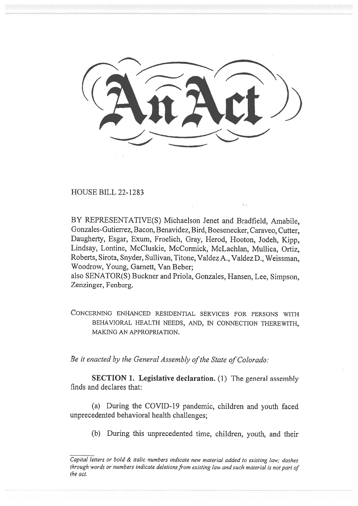HOUSE BILL 22-1283

BY REPRESENTATIVE(S) Michaelson Jenet and Bradfield, Amabile, Gonzales-Gutierrez, Bacon, Benavidez, Bird, Boesenecker, Caraveo, Cutter, Daugherty, Esgar, Exum, Froelich, Gray, Herod, Hooton, Jodeh, Kipp, Lindsay, Lontine, McCluskie, McCormick, McLachlan, Mullica, Ortiz, Roberts, Sirota, Snyder, Sullivan, Titone, Valdez A., Valdez D., Weissman, Woodrow, Young, Garnett, Van Beber;

also SENATOR(S) Buckner and Priola, Gonzales, Hansen, Lee, Simpson, Zenzinger, Fenberg.

CONCERNING ENHANCED RESIDENTIAL SERVICES FOR PERSONS WITH BEHAVIORAL HEALTH NEEDS, AND, IN CONNECTION THEREWITH, MAKING AN APPROPRIATION.

Be it enacted by the General Assembly of the State of Colorado:

SECTION 1. Legislative declaration. (1) The general assembly finds and declares that:

(a) During the COVID-19 pandemic, children and youth faced unprecedented behavioral health challenges;

(b) During this unprecedented time, children, youth, and their

Capital letters or bold & italic numbers indicate new material added to existing law; dashes through words or numbers indicate deletions from existing law and such material is not part of the act.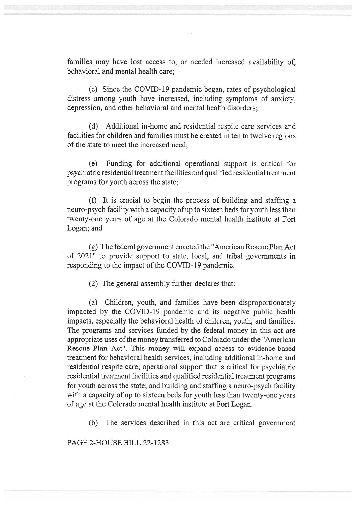families may have lost access to, or needed increased availability of, behavioral and mental health care;

(c) Since the COVID-19 pandemic began, rates of psychological distress among youth have increased, including symptoms of anxiety, depression, and other behavioral and mental health disorders;

(d) Additional in-home and residential respite care services and facilities for children and families must be created in ten to twelve regions of the state to meet the increased need;

(e) Funding for additional operational support is critical for psychiatric residential treatment facilities and qualified residential treatment programs for youth across the state;

(f) It is crucial to begin the process of building and staffing a neuro-psych facility with a capacity of up to sixteen beds for youth less than twenty-one years of age at the Colorado mental health institute at Fort Logan; and

(g) The federal government enacted the "American Rescue Plan Act of 2021" to provide support to state, local, and tribal governments in responding to the impact of the COVID-19 pandemic.

(2) The general assembly further declares that:

(a) Children, youth, and families have been disproportionately impacted by the COVID-19 pandemic and its negative public health impacts, especially the behavioral health of children, youth, and families. The programs and services funded by the federal money in this act are appropriate uses of the money transferred to Colorado under the "American Rescue Plan Act". This money will expand access to evidence-based treatment for behavioral health services, including additional in-home and residential respite care; operational support that is critical for psychiatric residential treatment facilities and qualified residential treatment programs for youth across the state; and building and staffing a neuro-psych facility with a capacity of up to sixteen beds for youth less than twenty-one years of age at the Colorado mental health institute at Fort Logan.

(b) The services described in this act are critical government

PAGE 2-HOUSE BILL 22-1283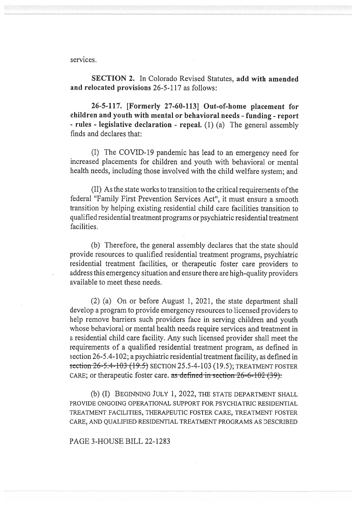services.

SECTION 2. In Colorado Revised Statutes, add with amended and relocated provisions 26-5-117 as follows:

26-5-117. [Formerly 27-60-113] Out-of-home placement for children and youth with mental or behavioral needs - funding - report - rules - legislative declaration - repeal. (1) (a) The general assembly finds and declares that:

(I) The COVID-19 pandemic has lead to an emergency need for increased placements for children and youth with behavioral or mental health needs, including those involved with the child welfare system; and

(II) As the state works to transition to the critical requirements of the federal "Family First Prevention Services Act", it must ensure a smooth transition by helping existing residential child care facilities transition to qualified residential treatment programs or psychiatric residential treatment facilities.

(b) Therefore, the general assembly declares that the state should provide resources to qualified residential treatment programs, psychiatric residential treatment facilities, or therapeutic foster care providers to address this emergency situation and ensure there are high-quality providers available to meet these needs.

(2) (a) On or before August 1, 2021, the state department shall develop a program to provide emergency resources to licensed providers to help remove barriers such providers face in serving children and youth whose behavioral or mental health needs require services and treatment in a residential child care facility. Any such licensed provider shall meet the requirements of a qualified residential treatment program, as defined in section 26-5.4-102; a psychiatric residential treatment facility, as defined in section 26-5.4-103 (19.5) SECTION 25.5-4-103 (19.5); TREATMENT FOSTER CARE; or therapeutic foster care. as defined in section  $26-6-102$  (39).

(b) (I) BEGINNING JULY 1, 2022, THE STATE DEPARTMENT SHALL PROVIDE ONGOING OPERATIONAL SUPPORT FOR PSYCHIATRIC RESIDENTIAL TREATMENT FACILITIES, THERAPEUTIC FOSTER CARE, TREATMENT FOSTER CARE, AND QUALIFIED RESIDENTIAL TREATMENT PROGRAMS AS DESCRIBED

## PAGE 3-HOUSE BILL 22-1283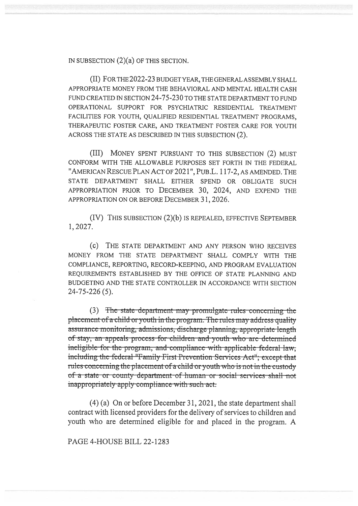IN SUBSECTION (2)(a) OF THIS SECTION.

(II) FOR THE 2022-23 BUDGET YEAR, THE GENERAL ASSEMBLY SHALL APPROPRIATE MONEY FROM THE BEHAVIORAL AND MENTAL HEALTH CASH FUND CREATED IN SECTION 24-75-23 0 TO THE STATE DEPARTMENT TO FUND OPERATIONAL SUPPORT FOR PSYCHIATRIC RESIDENTIAL TREATMENT FACILITIES FOR YOUTH, QUALIFIED RESIDENTIAL TREATMENT PROGRAMS, THERAPEUTIC FOSTER CARE, AND TREATMENT FOSTER CARE FOR YOUTH ACROSS THE STATE AS DESCRIBED IN THIS SUBSECTION (2).

(III) MONEY SPENT PURSUANT TO THIS SUBSECTION (2) MUST CONFORM WITH THE ALLOWABLE PURPOSES SET FORTH IN THE FEDERAL "AMERICAN RESCUE PLAN ACT OF 2021", PuB.L. 117-2, AS AMENDED. THE STATE DEPARTMENT SHALL EITHER SPEND OR OBLIGATE SUCH APPROPRIATION PRIOR TO DECEMBER 30, 2024, AND EXPEND THE APPROPRIATION ON OR BEFORE DECEMBER 31, 2026.

(IV) THIS SUBSECTION (2)(b) IS REPEALED, EFFECTIVE SEPTEMBER 1, 2027.

(c) THE STATE DEPARTMENT AND ANY PERSON WHO RECEIVES MONEY FROM THE STATE DEPARTMENT SHALL COMPLY WITH THE COMPLIANCE, REPORTING, RECORD-KEEPING, AND PROGRAM EVALUATION REQUIREMENTS ESTABLISHED BY THE OFFICE OF STATE PLANNING AND BUDGETING AND THE STATE CONTROLLER IN ACCORDANCE WITH SECTION 24-75-226 (5).

(3) The state-department may promulgate rules concerning the placement of a child or youth in the program. The rules may address quality assurance monitoring, admissions, discharge planning, appropriate length of stay, an appeals process for children and youth who are determined ineligible-for-the-program, and compliance with applicable-federal-law. including the federal "Family First Prevention Services Act"; except that rules-concerning the-placement of a child or youth who is not in the custody of a state or county-department-of-human-or-social services shall not inappropriately apply compliance with such act.

(4) (a) On or before December 31, 2021, the state department shall contract with licensed providers for the delivery of services to children and youth who are determined eligible for and placed in the program. A

PAGE 4-HOUSE BILL 22-1283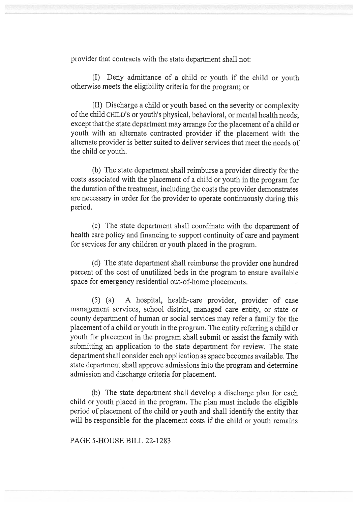provider that contracts with the state department shall not:

(I) Deny admittance of a child or youth if the child or youth otherwise meets the eligibility criteria for the program; or

(II) Discharge a child or youth based on the severity or complexity of the child CHILD'S or youth's physical, behavioral, or mental health needs; except that the state department may arrange for the placement of a child or youth with an alternate contracted provider if the placement with the alternate provider is better suited to deliver services that meet the needs of the child or youth.

(b) The state department shall reimburse a provider directly for the costs associated with the placement of a child or youth in the program for the duration of the treatment, including the costs the provider demonstrates are necessary in order for the provider to operate continuously during this period.

(c) The state department shall coordinate with the department of health care policy and financing to support continuity of care and payment for services for any children or youth placed in the program.

(d) The state department shall reimburse the provider one hundred percent of the cost of unutilized beds in the program to ensure available space for emergency residential out-of-home placements.

(5) (a) A hospital, health-care provider, provider of case management services, school district, managed care entity, or state or county department of human or social services may refer a family for the placement of a child or youth in the program. The entity referring a child or youth for placement in the program shall submit or assist the family with submitting an application to the state department for review. The state department shall consider each application as space becomes available. The state department shall approve admissions into the program and determine admission and discharge criteria for placement.

(b) The state department shall develop a discharge plan for each child or youth placed in the program. The plan must include the eligible period of placement of the child or youth and shall identify the entity that will be responsible for the placement costs if the child or youth remains

PAGE 5-HOUSE BILL 22-1283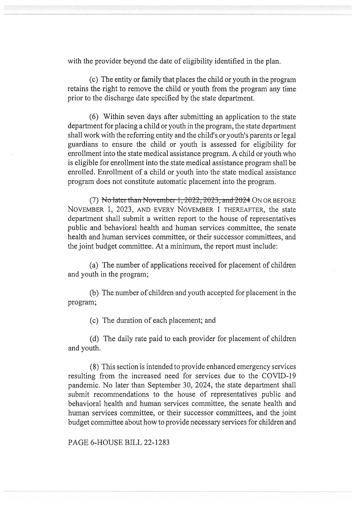with the provider beyond the date of eligibility identified in the plan.

(c) The entity or family that places the child or youth in the program retains the right to remove the child or youth from the program any time prior to the discharge date specified by the state department.

(6) Within seven days after submitting an application to the state department for placing a child or youth in the program, the state department shall work with the referring entity and the child's or youth's parents or legal guardians to ensure the child or youth is assessed for eligibility for enrollment into the state medical assistance program. A child or youth who is eligible for enrollment into the state medical assistance program shall be enrolled. Enrollment of a child or youth into the state medical assistance program does not constitute automatic placement into the program.

(7) No later than November 1,  $2022$ ,  $2023$ , and  $2024$  ON OR BEFORE NOVEMBER 1, 2023, AND EVERY NOVEMBER 1 THEREAFTER, the state department shall submit a written report to the house of representatives public and behavioral health and human services committee, the senate health and human services committee, or their successor committees, and the joint budget committee. At a minimum, the report must include:

(a) The number of applications received for placement of children and youth in the program;

(b) The number of children and youth accepted for placement in the program;

(c) The duration of each placement; and

(d) The daily rate paid to each provider for placement of children and youth.

(8) This section is intended to provide enhanced emergency services resulting from the increased need for services due to the COVID-19 pandemic. No later than September 30, 2024, the state department shall submit recommendations to the house of representatives public and behavioral health and human services committee, the senate health and human services committee, or their successor committees, and the joint budget committee about how to provide necessary services for children and

PAGE 6-HOUSE BILL 22-1283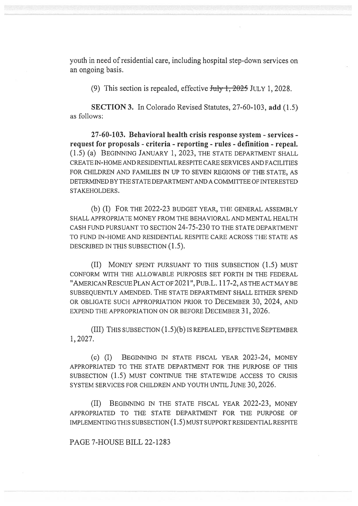youth in need of residential care, including hospital step-down services on an ongoing basis.

(9) This section is repealed, effective  $\frac{\text{tub}}{\text{t}}$ ,  $\frac{2025}{\text{tub}}$  JULY 1, 2028.

SECTION 3. In Colorado Revised Statutes, 27-60-103, add (1.5) as follows:

27-60-103. Behavioral health crisis response system - services request for proposals - criteria - reporting - rules - definition - repeal. (1.5) (a) BEGINNING JANUARY 1, 2023, THE STATE DEPARTMENT SHALL CREATE IN-HOME AND RESIDENTIAL RESPITE CARE SERVICES AND FACILITIES FOR CHILDREN AND FAMILIES IN UP TO SEVEN REGIONS OF THE STATE, AS DETERMINED BY THE STATE DEPARTMENT AND A COMMITTEE OF INTERESTED STAKEHOLDERS.

(b) (I) FOR THE 2022-23 BUDGET YEAR, THE GENERAL ASSEMBLY SHALL APPROPRIATE MONEY FROM THE BEHAVIORAL AND MENTAL HEALTH CASH FUND PURSUANT TO SECTION 24-75-230 TO THE STATE DEPARTMENT TO FUND IN-HOME AND RESIDENTIAL RESPITE CARE ACROSS THE STATE AS DESCRIBED IN THIS SUBSECTION (1.5).

(II) MONEY SPENT PURSUANT TO THIS SUBSECTION (1.5) MUST CONFORM WITH THE ALLOWABLE PURPOSES SET FORTH IN THE FEDERAL "AMERICAN RESCUE PLAN ACT OF 2021", PuB.L. 117-2, AS THE ACT MAY BE SUBSEQUENTLY AMENDED. THE STATE DEPARTMENT SHALL EITHER SPEND OR OBLIGATE SUCH APPROPRIATION PRIOR TO DECEMBER 30, 2024, AND EXPEND THE APPROPRIATION ON OR BEFORE DECEMBER 31, 2026.

(III) THIS SUBSECTION (1.5)(b) IS REPEALED, EFFECTIVE SEPTEMBER 1, 2027.

(c) (I) BEGINNING IN STATE FISCAL YEAR 2023-24, MONEY APPROPRIATED TO THE STATE DEPARTMENT FOR THE PURPOSE OF THIS SUBSECTION (1.5) MUST CONTINUE THE STATEWIDE ACCESS TO CRISIS SYSTEM SERVICES FOR CHILDREN AND YOUTH UNTIL JUNE 30, 2026.

(II) BEGINNING IN THE STATE FISCAL YEAR 2022-23, MONEY APPROPRIATED TO THE STATE DEPARTMENT FOR THE PURPOSE OF IMPLEMENTING THIS SUBSECTION (1.5) MUST SUPPORT RESIDENTIAL RESPITE

PAGE 7-HOUSE BILL 22-1283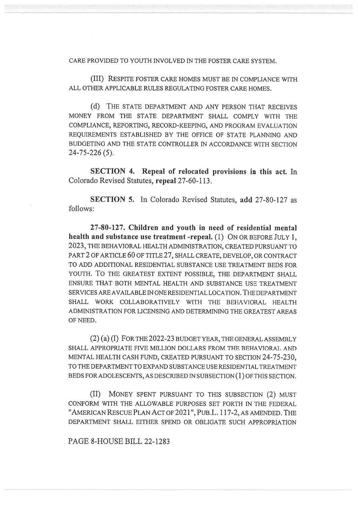CARE PROVIDED TO YOUTH INVOLVED IN THE FOSTER CARE SYSTEM.

(III) RESPITE FOSTER CARE HOMES MUST BE IN COMPLIANCE WITH ALL OTHER APPLICABLE RULES REGULATING FOSTER CARE HOMES.

(d) THE STATE DEPARTMENT AND ANY PERSON THAT RECEIVES MONEY FROM THE STATE DEPARTMENT SHALL COMPLY WITH THE COMPLIANCE, REPORTING, RECORD-KEEPING, AND PROGRAM EVALUATION REQUIREMENTS ESTABLISHED BY THE OFFICE OF STATE PLANNING AND BUDGETING AND THE STATE CONTROLLER IN ACCORDANCE WITH SECTION 24-75-226 (5).

SECTION 4. Repeal of relocated provisions in this act. In Colorado Revised Statutes, repeal 27-60-113.

SECTION 5. In Colorado Revised Statutes, add 27-80-127 as follows:

27-80-127. Children and youth in need of residential mental health and substance use treatment -repeal. (1) ON OR BEFORE JULY 1, 2023, THE BEHAVIORAL HEALTH ADMINISTRATION, CREATED PURSUANT TO PART 2 OF ARTICLE 60 OF TITLE 27, SHALL CREATE, DEVELOP, OR CONTRACT TO ADD ADDITIONAL RESIDENTIAL SUBSTANCE USE TREATMENT BEDS FOR YOUTH. TO THE GREATEST EXTENT POSSIBLE, THE DEPARTMENT SHALL ENSURE THAT BOTH MENTAL HEALTH AND SUBSTANCE USE TREATMENT SERVICES ARE AVAILABLE IN ONE RESIDENTIAL LOCATION. THE DEPARTMENT SHALL WORK COLLABORATIVELY WITH THE BEHAVIORAL HEALTH ADMINISTRATION FOR LICENSING AND DETERMINING THE GREATEST AREAS OF NEED.

(2) (a) (I) FOR THE 2022-23 BUDGET YEAR, THE GENERAL ASSEMBLY SHALL APPROPRIATE FIVE MILLION DOLLARS FROM THE BEHAVIORAL AND MENTAL HEALTH CASH FUND, CREATED PURSUANT TO SECTION 24-75-230, TO THE DEPARTMENT TO EXPAND SUBSTANCE USE RESIDENTIAL TREATMENT BEDS FOR ADOLESCENTS, AS DESCRIBED IN SUBSECTION (1) OF THIS SECTION.

(II) MONEY SPENT PURSUANT TO THIS SUBSECTION (2) MUST CONFORM WITH THE ALLOWABLE PURPOSES SET FORTH IN THE FEDERAL "AMERICAN RESCUE PLAN ACT OF 2021", PuB.L. 117-2, AS AMENDED. THE DEPARTMENT SHALL EITHER SPEND OR OBLIGATE SUCH APPROPRIATION

PAGE 8-HOUSE BILL 22-1283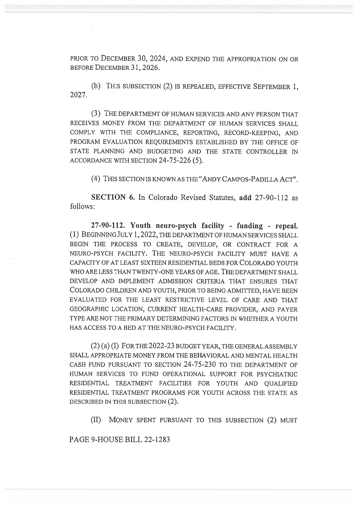PRIOR TO DECEMBER 30, 2024, AND EXPEND THE APPROPRIATION ON OR BEFORE DECEMBER 31, 2026.

(b) THIS SUBSECTION (2) IS REPEALED, EFFECTIVE SEPTEMBER 1, 2027.

(3) THE DEPARTMENT OF HUMAN SERVICES AND ANY PERSON THAT RECEIVES MONEY FROM THE DEPARTMENT OF HUMAN SERVICES SHALL COMPLY WITH THE COMPLIANCE, REPORTING, RECORD-KEEPING, AND PROGRAM EVALUATION REQUIREMENTS ESTABLISHED BY THE OFFICE OF STATE PLANNING AND BUDGETING AND THE STATE CONTROLLER IN ACCORDANCE WITH SECTION 24-75-226 (5).

(4) THIS SECTION IS KNOWN AS THE "ANDY CAMPOS-PADILLA ACT".

SECTION 6. In Colorado Revised Statutes, add 27-90-112 as follows:

27-90-112. Youth neuro-psych facility - funding - repeal. (1) BEGINNING JULY 1, 2022, THE DEPARTMENT OF HUMAN SERVICES SHALL BEGIN THE PROCESS TO CREATE, DEVELOP, OR CONTRACT FOR A NEURO-PSYCH FACILITY. THE NEURO-PSYCH FACILITY MUST HAVE A CAPACITY OF AT LEAST SIXTEEN RESIDENTIAL BEDS FOR COLORADO YOUTH WHO ARE LESS THAN TWENTY-ONE YEARS OF AGE. THE DEPARTMENT SHALL DEVELOP AND IMPLEMENT ADMISSION CRITERIA THAT ENSURES THAT COLORADO CHILDREN AND YOUTH, PRIOR TO BEING ADMITTED, HAVE BEEN EVALUATED FOR THE LEAST RESTRICTIVE LEVEL OF CARE AND THAT GEOGRAPHIC LOCATION, CURRENT HEALTH-CARE PROVIDER, AND PAYER TYPE ARE NOT THE PRIMARY DETERMINING FACTORS IN WHETHER A YOUTH HAS ACCESS TO A BED AT THE NEURO-PSYCH FACILITY.

(2) (a) (I) FOR THE 2022-23 BUDGET YEAR, THE GENERAL ASSEMBLY SHALL APPROPRIATE MONEY FROM THE BEHAVIORAL AND MENTAL HEALTH CASH FUND PURSUANT TO SECTION 24-75-230 TO THE DEPARTMENT OF HUMAN SERVICES TO FUND OPERATIONAL SUPPORT FOR PSYCHIATRIC RESIDENTIAL TREATMENT FACILITIES FOR YOUTH AND QUALIFIED RESIDENTIAL TREATMENT PROGRAMS FOR YOUTH ACROSS THE STATE AS DESCRIBED IN THIS SUBSECTION (2).

(II) MONEY SPENT PURSUANT TO THIS SUBSECTION (2) MUST

PAGE 9-HOUSE BILL 22-1283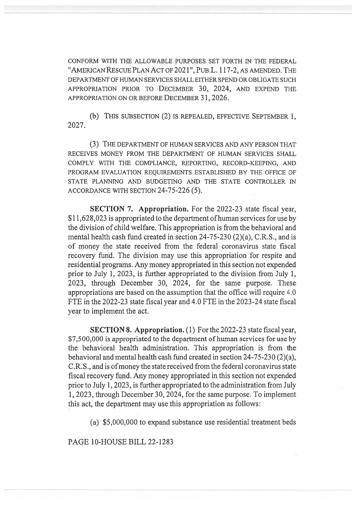CONFORM WITH THE ALLOWABLE PURPOSES SET FORTH IN THE FEDERAL "AMERICAN RESCUE PLAN ACT OF 2021", PuB.L. 117-2, AS AMENDED. THE DEPARTMENT OF HUMAN SERVICES SHALL EITHER SPEND OR OBLIGATE SUCH APPROPRIATION PRIOR TO DECEMBER 30, 2024, AND EXPEND THE APPROPRIATION ON OR BEFORE DECEMBER 31, 2026.

(b) THIS SUBSECTION (2) IS REPEALED, EFFECTIVE SEPTEMBER 1, 2027.

(3) THE DEPARTMENT OF HUMAN SERVICES AND ANY PERSON THAT RECEIVES MONEY FROM THE DEPARTMENT OF HUMAN SERVICES SHALL COMPLY WITH THE COMPLIANCE, REPORTING, RECORD-KEEPING, AND PROGRAM EVALUATION REQUIREMENTS ESTABLISHED BY THE OFFICE OF STATE PLANNING AND BUDGETING AND THE STATE CONTROLLER IN ACCORDANCE WITH SECTION 24-75-226 (5).

SECTION 7. Appropriation. For the 2022-23 state fiscal year, \$11,628,023 is appropriated to the department of human services for use by the division of child welfare. This appropriation is from the behavioral and mental health cash fund created in section 24-75-230 (2)(a), C.R.S., and is of money the state received from the federal coronavirus state fiscal recovery fund. The division may use this appropriation for respite and residential programs. Any money appropriated in this section not expended prior to July 1, 2023, is further appropriated to the division from July 1, 2023, through December 30, 2024, for the same purpose. These appropriations are based on the assumption that the office will require 4.0 FTE in the 2022-23 state fiscal year and 4.0 FTE in the 2023-24 state fiscal year to implement the act.

SECTION 8. Appropriation. (1) For the 2022-23 state fiscal year, \$7,500,000 is appropriated to the department of human services for use by the behavioral health administration. This appropriation is from the behavioral and mental health cash fund created in section 24-75-230 (2)(a), C.R.S., and is of money the state received from the federal coronavirus state fiscal recovery fund. Any money appropriated in this section not expended prior to July 1, 2023, is further appropriated to the administration from July 1, 2023, through December 30, 2024, for the same purpose. To implement this act, the department may use this appropriation as follows:

(a) \$5,000,000 to expand substance use residential treatment beds

PAGE 10-HOUSE BILL 22-1283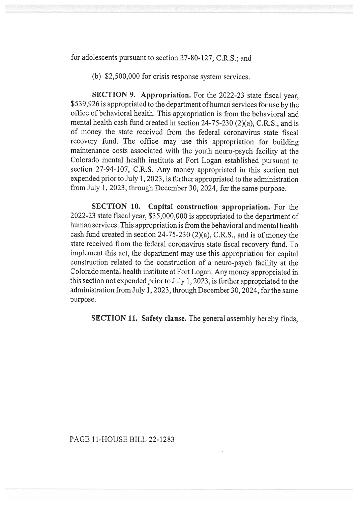for adolescents pursuant to section 27-80-127, C.R.S.; and

(b) \$2,500,000 for crisis response system services.

SECTION 9. Appropriation. For the 2022-23 state fiscal year, \$539,926 is appropriated to the department of human services for use by the office of behavioral health. This appropriation is from the behavioral and mental health cash fund created in section 24-75-230 (2)(a), C.R.S., and is of money the state received from the federal coronavirus state fiscal recovery fund. The office may use this appropriation for building maintenance costs associated with the youth neuro-psych facility at the Colorado mental health institute at Fort Logan established pursuant to section 27-94-107, C.R.S. Any money appropriated in this section not expended prior to July 1, 2023, is further appropriated to the administration from July 1, 2023, through December 30, 2024, for the same purpose.

SECTION 10. Capital construction appropriation. For the 2022-23 state fiscal year, \$35,000,000 is appropriated to the department of human services. This appropriation is from the behavioral and mental health cash fund created in section 24-75-230 (2)(a), C.R.S., and is of money the state received from the federal coronavirus state fiscal recovery fund. To implement this act, the department may use this appropriation for capital construction related to the construction of a neuro-psych facility at the Colorado mental health institute at Fort Logan. Any money appropriated in this section not expended prior to July 1, 2023, is further appropriated to the administration from July 1, 2023, through December 30, 2024, for the same purpose.

SECTION 11. Safety clause. The general assembly hereby finds,

## PAGE 11-HOUSE BILL 22-1283